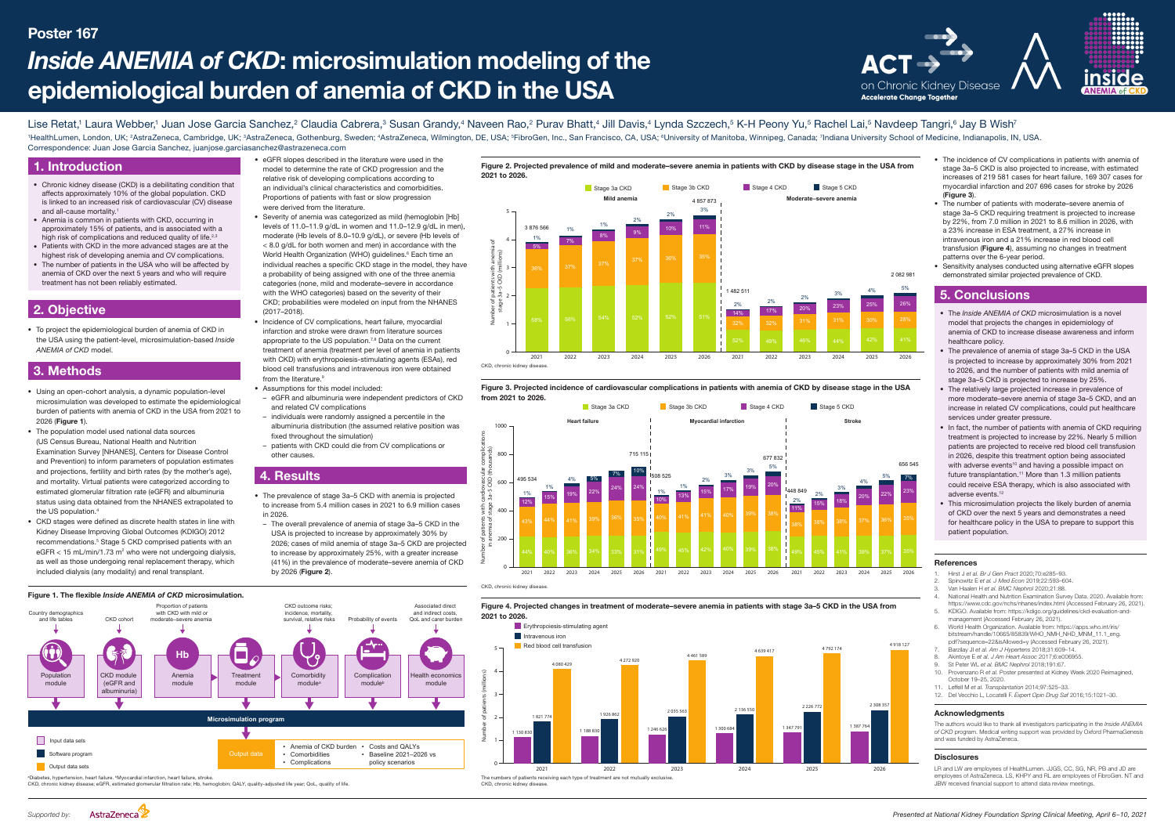# 1. Introduction

Figure 2. Projected prevalence of mild and moderate–severe anemia in patients with CKD by disease stage in the USA from

Figure 3. Projected incidence of cardiovascular complications in patients with anemia of CKD by disease stage in the USA from 2021 to 2026.







- Chronic kidney disease (CKD) is a debilitating condition that affects approximately 10% of the global population. CKD is linked to an increased risk of cardiovascular (CV) disease and all-cause mortality.<sup>1</sup>
- Anemia is common in patients with CKD, occurring in approximately 15% of patients, and is associated with a high risk of complications and reduced quality of life.<sup>2,3</sup>
- Patients with CKD in the more advanced stages are at the highest risk of developing anemia and CV complications.
- The number of patients in the USA who will be affected by anemia of CKD over the next 5 years and who will require treatment has not been reliably estimated.

# 5. Conclusions

CKD, chronic kidney disease; eGFR, estimated glomerular filtration rate; Hb, hemoglobin; QALY, quality-adjusted life year; QoL, quality of life.

CKD, chronic kidney disease.

LR and LW are employees of HealthLumen. JJGS, CC, SG. NR. PR and JD are employees of AstraZeneca. LS, KHPY and RL are employees of FibroGen. NT and JBW received financial support to attend data review meetings.

- The *Inside ANEMIA of CKD* microsimulation is a novel model that projects the changes in epidemiology of anemia of CKD to increase disease awareness and inform healthcare policy.
- The prevalence of anemia of stage 3a-5 CKD in the USA is projected to increase by approximately 30% from 2021 to 2026, and the number of patients with mild anemia of stage 3a–5 CKD is projected to increase by 25%.
- The relatively large projected increase in prevalence of more moderate–severe anemia of stage 3a–5 CKD, and an increase in related CV complications, could put healthcare services under greater pressure.
- In fact, the number of patients with anemia of CKD requiring treatment is projected to increase by 22%. Nearly 5 million patients are projected to receive red blood cell transfusion in 2026, despite this treatment option being associated with adverse events<sup>10</sup> and having a possible impact on future transplantation.<sup>11</sup> More than 1.3 million patients could receive ESA therapy, which is also associated with adverse events.<sup>12</sup>
- This microsimulation projects the likely burden of anemia of CKD over the next 5 years and demonstrates a need for healthcare policy in the USA to prepare to support this patient population.

Lise Retat,<sup>1</sup> Laura Webber,<sup>1</sup> Juan Jose Garcia Sanchez,<sup>2</sup> Claudia Cabrera,<sup>3</sup> Susan Grandy,<sup>4</sup> Naveen Rao,<sup>2</sup> Purav Bhatt,<sup>4</sup> Jill Davis,<sup>4</sup> Lynda Szczech,<sup>5</sup> K-H Peony Yu,<sup>5</sup> Rachel Lai,<sup>5</sup> Navdeep Tangri,<sup>6</sup> Jay B Wis 1HealthLumen, London, UK; 2AstraZeneca, Cambridge, UK; 3AstraZeneca, Gothenburg, Sweden; 4AstraZeneca, Wilmington, DE, USA; <sup>5</sup>FibroGen, Inc., San Francisco, CA, USA; <sup>6</sup>University of Manitoba, Winnipeg, Canada; 7Indiana U Correspondence: Juan Jose Garcia Sanchez, juanjose.garciasanchez@astrazeneca.com

# Poster 167

#### References

- 1. Hirst J *et al. Br J Gen Pract* 2020;70:e285–93.
- 2. Spinowitz E *et al. J Med Econ* 2019;22:593–604.
- 3. Van Haalen H *et al. BMC Nephrol* 2020;21:88.
- National Health and Nutrition Examination Survey Data, 2020. Available from: <https://www.cdc.gov/nchs/nhanes/index.html>(Accessed February 26, 2021). 5. KDIGO. Available from: https://kdigo.org/guidelines/ckd-evaluation-and-
- management (Accessed February 26, 2021). 6. World Health Organization. Available from: [https://apps.who.int/iris/](https://apps.who.int/iris/bitstream/handle/10665/85839/WHO_NMH_NHD_MNM_11.1_eng.pdf?sequence=22&isAllowed=y) [bitstream/handle/10665/85839/WHO\\_NMH\\_NHD\\_MNM\\_11.1\\_eng.](https://apps.who.int/iris/bitstream/handle/10665/85839/WHO_NMH_NHD_MNM_11.1_eng.pdf?sequence=22&isAllowed=y)
- [pdf?sequence=22&isAllowed=y](https://apps.who.int/iris/bitstream/handle/10665/85839/WHO_NMH_NHD_MNM_11.1_eng.pdf?sequence=22&isAllowed=y) (Accessed February 26, 2021).
- 7. Barzilay JI *et al. Am J Hypertens* 2018;31:609–14.
- 8. Akintoye E *et al. J Am Heart Assoc* 2017;6:e006955. 9. St Peter WL *et al. BMC Nephrol* 2018;191:67.
- 10. Provenzano R *et al.* Poster presented at Kidney Week 2020 Reimagined,
- October 19–25, 2020.
- 11. Leffell M *et al. Transplantation* 2014;97:525–33. 12. Del Vecchio L, Locatelli F. *Expert Opin Drug Saf* 2016;15:1021–30.

### Acknowledgments

The authors would like to thank all investigators participating in the *Inside ANEMIA of CKD* program. Medical writing support was provided by Oxford PharmaGenesis and was funded by AstraZeneca.

#### **Disclosures**



# *Inside ANEMIA of CKD*: microsimulation modeling of the epidemiological burden of anemia of CKD in the USA





# 2. Objective

• To project the epidemiological burden of anemia of CKD in the USA using the patient-level, microsimulation-based *Inside ANEMIA of CKD* model.

# 3. Methods

- Using an open-cohort analysis, a dynamic population-level microsimulation was developed to estimate the epidemiological burden of patients with anemia of CKD in the USA from 2021 to 2026 (Figure 1).
- The population model used national data sources (US Census Bureau, National Health and Nutrition Examination Survey [NHANES], Centers for Disease Control and Prevention) to inform parameters of population estimates and projections, fertility and birth rates (by the mother's age), and mortality. Virtual patients were categorized according to estimated glomerular filtration rate (eGFR) and albuminuria status using data obtained from the NHANES extrapolated to the US population.<sup>4</sup>
- CKD stages were defined as discrete health states in line with Kidney Disease Improving Global Outcomes (KDIGO) 2012 recommendations.<sup>5</sup> Stage 5 CKD comprised patients with an eGFR < 15 mL/min/1.73 m<sup>2</sup> who were not undergoing dialysis, as well as those undergoing renal replacement therapy, which included dialysis (any modality) and renal transplant.

26% 2 082 981 5%



23%

656 545

7%

- eGFR slopes described in the literature were used in the model to determine the rate of CKD progression and the relative risk of developing complications according to an individual's clinical characteristics and comorbidities. Proportions of patients with fast or slow progression were derived from the literature.
- Severity of anemia was categorized as mild (hemoglobin [Hb] levels of 11.0–11.9 g/dL in women and 11.0–12.9 g/dL in men), moderate (Hb levels of 8.0–10.9 g/dL), or severe (Hb levels of < 8.0 g/dL for both women and men) in accordance with the World Health Organization (WHO) guidelines.<sup>6</sup> Each time an individual reaches a specific CKD stage in the model, they have a probability of being assigned with one of the three anemia categories (none, mild and moderate–severe in accordance with the WHO categories) based on the severity of their CKD; probabilities were modeled on input from the NHANES (2017–2018).
- Incidence of CV complications, heart failure, myocardial infarction and stroke were drawn from literature sources appropriate to the US population.<sup>7,8</sup> Data on the current treatment of anemia (treatment per level of anemia in patients with CKD) with erythropoiesis-stimulating agents (ESAs), red blood cell transfusions and intravenous iron were obtained from the literature.<sup>9</sup>
- Assumptions for this model included:
- eGFR and albuminuria were independent predictors of CKD and related CV complications
- individuals were randomly assigned a percentile in the albuminuria distribution (the assumed relative position was fixed throughout the simulation)
- patients with CKD could die from CV complications or other causes.

# 4. Results

- The prevalence of stage 3a–5 CKD with anemia is projected to increase from 5.4 million cases in 2021 to 6.9 million cases in 2026.
- The overall prevalence of anemia of stage 3a–5 CKD in the USA is projected to increase by approximately 30% by 2026; cases of mild anemia of stage 3a–5 CKD are projected to increase by approximately 25%, with a greater increase (41%) in the prevalence of moderate–severe anemia of CKD by 2026 (Figure 2).
- The incidence of CV complications in patients with anemia of stage 3a–5 CKD is also projected to increase, with estimated increases of 219 581 cases for heart failure, 169 307 cases for myocardial infarction and 207 696 cases for stroke by 2026  $(Fi)$
- The number of patients with moderate–severe anemia of stage 3a–5 CKD requiring treatment is projected to increase by 22%, from 7.0 million in 2021 to 8.6 million in 2026, with a 23% increase in ESA treatment, a 27% increase in intravenous iron and a 21% increase in red blood cell transfusion (Figure 4), assuming no changes in treatment patterns over the 6-year period.
- Sensitivity analyses conducted using alternative eGFR slopes demonstrated similar projected prevalence of CKD.